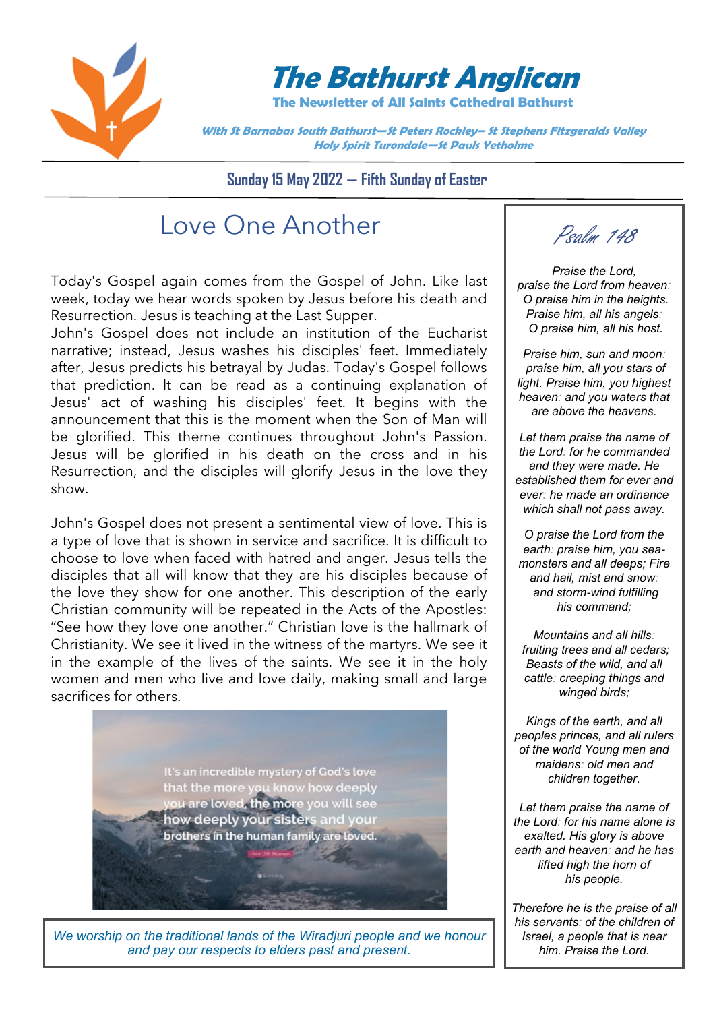

# **The Bathurst Anglican**

**The Newsletter of All Saints Cathedral Bathurst**

**With St Barnabas South Bathurst—St Peters Rockley– St Stephens Fitzgeralds Valley Holy Spirit Turondale—St Pauls Yetholme**

**Sunday 15 May 2022 — Fifth Sunday of Easter**

# Love One Another

Today's Gospel again comes from the Gospel of John. Like last week, today we hear words spoken by Jesus before his death and Resurrection. Jesus is teaching at the Last Supper.

John's Gospel does not include an institution of the Eucharist narrative; instead, Jesus washes his disciples' feet. Immediately after, Jesus predicts his betrayal by Judas. Today's Gospel follows that prediction. It can be read as a continuing explanation of Jesus' act of washing his disciples' feet. It begins with the announcement that this is the moment when the Son of Man will be glorified. This theme continues throughout John's Passion. Jesus will be glorified in his death on the cross and in his Resurrection, and the disciples will glorify Jesus in the love they show.

John's Gospel does not present a sentimental view of love. This is a type of love that is shown in service and sacrifice. It is difficult to choose to love when faced with hatred and anger. Jesus tells the disciples that all will know that they are his disciples because of the love they show for one another. This description of the early Christian community will be repeated in the Acts of the Apostles: "See how they love one another." Christian love is the hallmark of Christianity. We see it lived in the witness of the martyrs. We see it in the example of the lives of the saints. We see it in the holy women and men who live and love daily, making small and large sacrifices for others.



*We worship on the traditional lands of the Wiradjuri people and we honour and pay our respects to elders past and present.*

Psalm 148

*Praise the Lord, praise the Lord from heaven: O praise him in the heights. Praise him, all his angels: O praise him, all his host.*

*Praise him, sun and moon: praise him, all you stars of light. Praise him, you highest heaven: and you waters that are above the heavens.*

*Let them praise the name of the Lord: for he commanded and they were made. He established them for ever and ever: he made an ordinance which shall not pass away.*

*O praise the Lord from the earth: praise him, you seamonsters and all deeps; Fire and hail, mist and snow: and storm-wind fulfilling his command;*

*Mountains and all hills: fruiting trees and all cedars; Beasts of the wild, and all cattle: creeping things and winged birds;*

*Kings of the earth, and all peoples princes, and all rulers of the world Young men and maidens: old men and children together.*

*Let them praise the name of the Lord: for his name alone is exalted. His glory is above earth and heaven: and he has lifted high the horn of his people.*

*Therefore he is the praise of all his servants: of the children of Israel, a people that is near him. Praise the Lord.*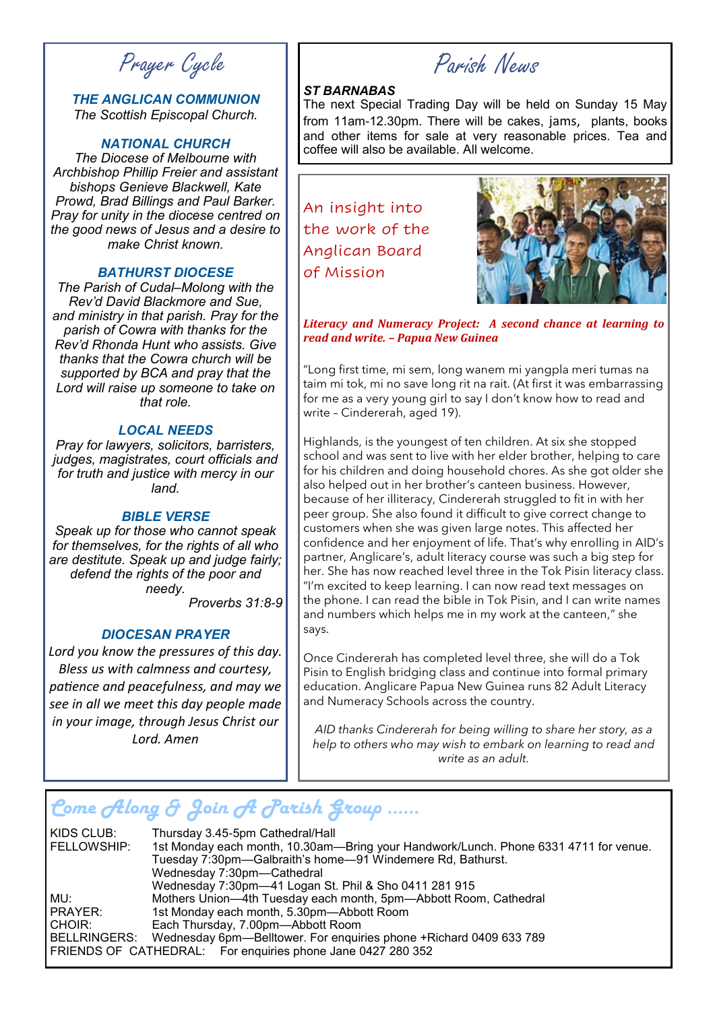Prayer Cycle

### *THE ANGLICAN COMMUNION The Scottish Episcopal Church.*

### *NATIONAL CHURCH*

*The Diocese of Melbourne with Archbishop Phillip Freier and assistant bishops Genieve Blackwell, Kate Prowd, Brad Billings and Paul Barker. Pray for unity in the diocese centred on the good news of Jesus and a desire to make Christ known.*

### *BATHURST DIOCESE*

*The Parish of Cudal–Molong with the Rev'd David Blackmore and Sue, and ministry in that parish. Pray for the parish of Cowra with thanks for the Rev'd Rhonda Hunt who assists. Give thanks that the Cowra church will be supported by BCA and pray that the Lord will raise up someone to take on that role.*

### *LOCAL NEEDS*

*Pray for lawyers, solicitors, barristers, judges, magistrates, court officials and for truth and justice with mercy in our land.*

### *BIBLE VERSE*

*Speak up for those who cannot speak for themselves, for the rights of all who are destitute. Speak up and judge fairly; defend the rights of the poor and needy.*

*Proverbs 31:8-9*

### *DIOCESAN PRAYER*

*Lord you know the pressures of this day. Bless us with calmness and courtesy, patience and peacefulness, and may we see in all we meet this day people made in your image, through Jesus Christ our Lord. Amen*

Parish News

### *ST BARNABAS*

The next Special Trading Day will be held on Sunday 15 May from 11am-12.30pm. There will be cakes, jams, plants, books and other items for sale at very reasonable prices. Tea and coffee will also be available. All welcome.

An insight into the work of the Anglican Board of Mission



*Literacy and Numeracy Project: A second chance at learning to read and write. – Papua New Guinea*

"Long first time, mi sem, long wanem mi yangpla meri tumas na taim mi tok, mi no save long rit na rait. (At first it was embarrassing for me as a very young girl to say I don't know how to read and write – Cindererah, aged 19).

Highlands, is the youngest of ten children. At six she stopped school and was sent to live with her elder brother, helping to care for his children and doing household chores. As she got older she also helped out in her brother's canteen business. However, because of her illiteracy, Cindererah struggled to fit in with her peer group. She also found it difficult to give correct change to customers when she was given large notes. This affected her confidence and her enjoyment of life. That's why enrolling in AID's partner, Anglicare's, adult literacy course was such a big step for her. She has now reached level three in the Tok Pisin literacy class. "I'm excited to keep learning. I can now read text messages on the phone. I can read the bible in Tok Pisin, and I can write names and numbers which helps me in my work at the canteen," she says.

Once Cindererah has completed level three, she will do a Tok Pisin to English bridging class and continue into formal primary education. Anglicare Papua New Guinea runs 82 Adult Literacy and Numeracy Schools across the country.

*AID thanks Cindererah for being willing to share her story, as a help to others who may wish to embark on learning to read and write as an adult.*

## *Come Along & Join A Parish Group ……*

KIDS CLUB: Thursday 3.45-5pm Cathedral/Hall<br>FELLOWSHIP: 1st Monday each month, 10.30am-1st Monday each month, 10.30am—Bring your Handwork/Lunch. Phone 6331 4711 for venue. Tuesday 7:30pm—Galbraith's home—91 Windemere Rd, Bathurst. Wednesday 7:30pm—Cathedral Wednesday 7:30pm—41 Logan St. Phil & Sho 0411 281 915 MU: Mothers Union—4th Tuesday each month, 5pm—Abbott Room, Cathedral<br>PRAYER: 1st Monday each month, 5.30pm—Abbott Room PRAYER: 1st Monday each month, 5.30pm—Abbott Room<br>CHOIR: Each Thursday, 7.00pm—Abbott Room Each Thursday, 7.00pm-Abbott Room BELLRINGERS: Wednesday 6pm—Belltower. For enquiries phone +Richard 0409 633 789 FRIENDS OF CATHEDRAL: For enquiries phone Jane 0427 280 352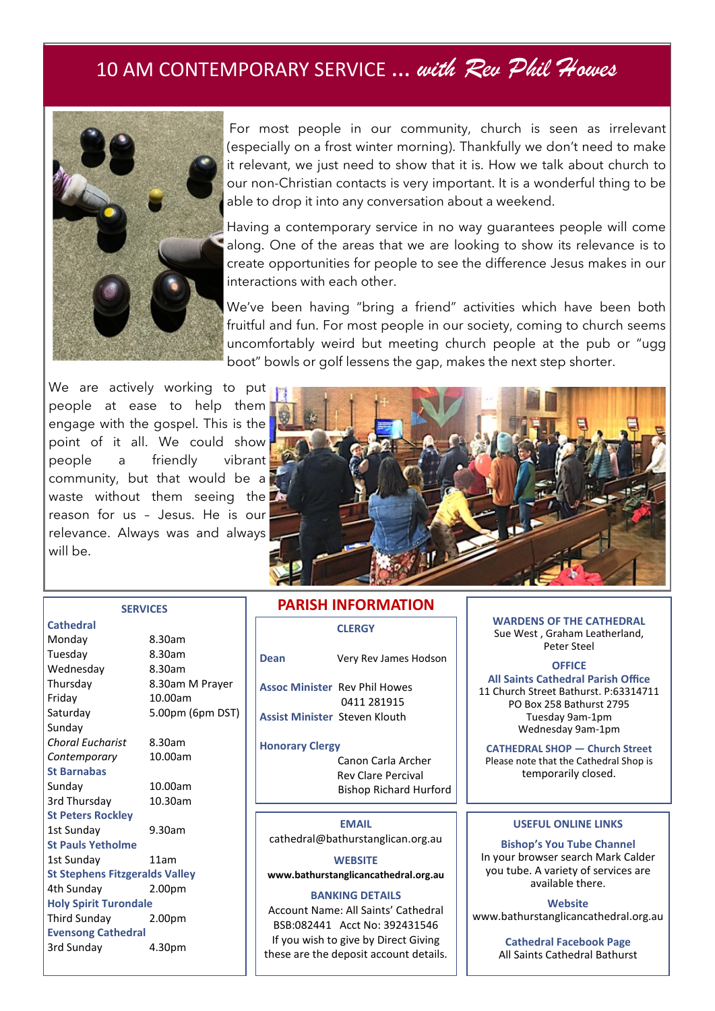## 10 AM CONTEMPORARY SERVICE … *with Rev Phil Howes*



For most people in our community, church is seen as irrelevant (especially on a frost winter morning). Thankfully we don't need to make it relevant, we just need to show that it is. How we talk about church to our non-Christian contacts is very important. It is a wonderful thing to be able to drop it into any conversation about a weekend.

Having a contemporary service in no way guarantees people will come along. One of the areas that we are looking to show its relevance is to create opportunities for people to see the difference Jesus makes in our interactions with each other.

We've been having "bring a friend" activities which have been both fruitful and fun. For most people in our society, coming to church seems uncomfortably weird but meeting church people at the pub or "ugg boot" bowls or golf lessens the gap, makes the next step shorter.

We are actively working to put people at ease to help them engage with the gospel. This is the point of it all. We could show people a friendly vibrant community, but that would be a waste without them seeing the reason for us – Jesus. He is our relevance. Always was and always will be.

**SERVICES**



#### **Cathedral**

| Monday                                | 8.30am             |
|---------------------------------------|--------------------|
| Tuesday                               | 8.30am             |
| Wednesday                             | 8.30am             |
| Thursday                              | 8.30am M Prayer    |
| Friday                                | 10.00am            |
| Saturday                              | 5.00pm (6pm DST)   |
| Sunday                                |                    |
| Choral Eucharist                      | 8.30am             |
| Contemporary                          | 10.00am            |
| <b>St Barnabas</b>                    |                    |
| Sunday                                | 10.00am            |
| 3rd Thursday                          | 10.30am            |
| <b>St Peters Rockley</b>              |                    |
| 1st Sunday                            | 9.30am             |
| <b>St Pauls Yetholme</b>              |                    |
| 1st Sunday                            | 11am               |
| <b>St Stephens Fitzgeralds Valley</b> |                    |
| 4th Sunday                            | 2.00pm             |
| <b>Holy Spirit Turondale</b>          |                    |
| Third Sunday                          | 2.00 <sub>pm</sub> |
| <b>Evensong Cathedral</b>             |                    |
| 3rd Sunday                            | 4.30pm             |

### **CLERGY PARISH INFORMATION**

|                                      | <b>LLERGY</b>                                       |
|--------------------------------------|-----------------------------------------------------|
| Dean                                 | Very Rev James Hodson                               |
|                                      | <b>Assoc Minister Rev Phil Howes</b><br>0411 281915 |
| <b>Assist Minister Steven Klouth</b> |                                                     |
| <b>Honorary Clergy</b>               |                                                     |
|                                      | Canon Carla Archer<br><b>Rev Clare Percival</b>     |

Bishop Richard Hurford

**EMAIL** cathedral@bathurstanglican.org.au

**WEBSITE www.bathurstanglicancathedral.org.au**

#### **BANKING DETAILS**

Account Name: All Saints' Cathedral BSB:082441 Acct No: 392431546 If you wish to give by Direct Giving these are the deposit account details. **WARDENS OF THE CATHEDRAL** Sue West , Graham Leatherland, Peter Steel

**OFFICE All Saints Cathedral Parish Office** 11 Church Street Bathurst. P:63314711 PO Box 258 Bathurst 2795 Tuesday 9am-1pm Wednesday 9am-1pm

**CATHEDRAL SHOP — Church Street** Please note that the Cathedral Shop is temporarily closed.

### **USEFUL ONLINE LINKS**

**Bishop's You Tube Channel** In your browser search Mark Calder you tube. A variety of services are available there.

**Website** www.bathurstanglicancathedral.org.au

> **Cathedral Facebook Page** All Saints Cathedral Bathurst